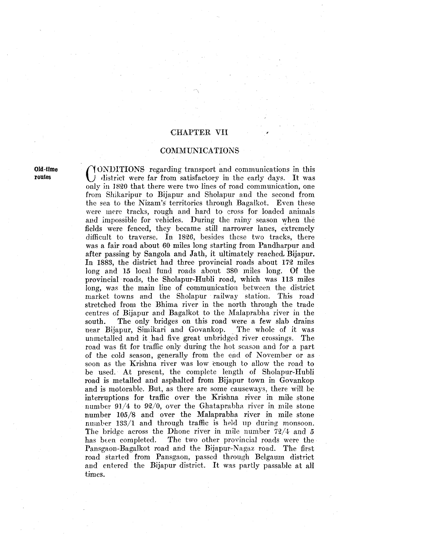# CHAPTER VII

## COMMUNICATIONS

**Old-time routes** 

CONDITIONS regarding transport and communications in this district were far from satisfactory in the early days. It was only in 1820 that there were two lines of road communication, one from Shikaripur to Bijapur and Sholapur and the second from the sea to the Nizam's territories through Bagalkot. Even these were mere tracks, rough and hard to cross for loaded animals and impossible for vehicles. During the rainy season when the fields were fenced, they became still narrower lanes, extremely difficult to traverse. In 1826, besides these two tracks, there was a fair road about 60 miles long starting from Pandharpur and after passing by Sangola and Jath, it ultimately reached. Bijapur. In 1883, the district had three provincial roads about 172 miles long and 15 local fund roads about 380 miles long. Of the provincial roads, the Sholapur-Hubli road, which was 113 miles long, was the main line of communication between the district market towns and the Sholapur railway station. This road stretched from the Bhima river in the north through the trade centres of Bijapur and Bagalkot to the Malaprabha river in the south. The only bridges on this road were a few slab drains near Bijapur, Simikari and Govankop. The whole of it was unmetalled and it had five great unbridged river crossings. The road was fit for traffic only during the hot season and for a part of the cold season, generally from the end of November or as soon as the Krishna river was low enough to allow the road to be used. At present, the complete length of Sholapur-Hubli road is metalled and asphalted from Bijapur town in Govankop and is motorable. But, as there are some causeways, there will be interruptions for traffic over the Krishna river in mile stone number  $91/4$  to  $92/0$ , over the Ghataprabha river in mile stone number 105/8 and over the Malaprabha river in mile stone number  $133/1$  and through traffic is held up during monsoon. The bridge across the Dhone river in *mile* number 72/4 and *5*  has been completed. The two other provincial roads were the Pansgaon-Bagalkot road and the Bijapur-Nagaz road. The first road started from Pansgaon, passed through Belgaum district and entered the Bijapur district. It was partly passable at all times.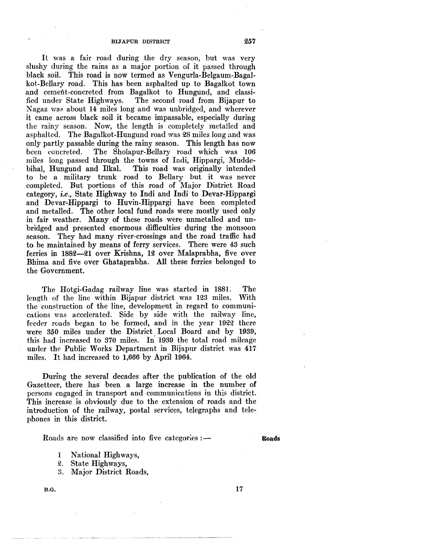It was a fair road during the dry season, but was very slushy during the rains as a major portion of it passed through black soil. This road is now termed as Vengurla-Belgaum-Bagalkot-Bellary road. This has been asphalted up to Bagalkot town and cement-concreted from Bagalkot to Hungund, and classified under State Highways. The second road from Bijapur to Nagaz was about 14 miles long and was unbridged, and wherever it came across black soil it became impassable, especially during the rainy season. Now, the length is completely metalled and asphaltcd. The Bagalkot-Hungund road was 28 miles long and was only partly passable during the rainy season. This length has now been eoncreted. The Sholapur-Bellary road which was 106 miles long passed through the towns of Indi, Hippargi, Muddebihal, Hungund and Ilkal. This road was originally intended to be a military trunk road to Bellary but it was never completed. But portions of this road of Major District Road category, *i.e.,* State Highway to lndi and Indi to Devar-Hippargi and Devar-Hippargi to Huvin-Hippargi have been completed and metalled., The other local fund roads were mostly used only in fair weather. Many of these roads were unmetalled and unbridged and presented enormous difficulties during the monsoon season. They had many river-crossings and the road traffic had to be maintained by means of ferry services. There were 43 such ferries in 1882--21 over Krishna, 12 over Malaprabha, five over Bhima and five over Ghataprabha. All these ferries belonged to the Government.

The Hotgi-Gadag railway line was started in 1881. The length of the line within Bijapur district was 123 miles, With the construction of the line, development in regard to communications was accelerated. Side by side with the railway line, feeder roads began to be formed, and in the year 1922 there were *350* miles under the District Local Board and by 1989, this had increased to 370 miles. In' 1989 the total road mileage under the Public Works Department in Bijapur district was 417 miles. l1t had increased to 1,666 by April 1964.

During the several decades after the publication of the old Gazetteer, there has been a large increase in the number of persons engaged in transport and communications in this district. This increase is obviously due to the extension of roads and the introduction of the railway, postal services, telegraphs and telephones in this district.

Roads are now classified into five categories :-

#### Roads

- l. National Highways,
- Qi. State Highways,
- 8. Major District Roads,

B.G.

17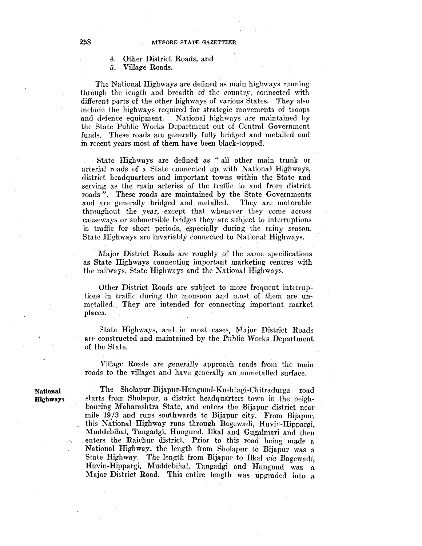4. Other District Roads, and

*5.* Village Roads.

The National Highways are defined as main highways running through the length and breadth of the country, connected with different parts of the other highways of various States. They also include the highways required for strategic movements of troops and defence equipment. National highways are maintained by the State Public Works Department out of Central Government funds. These roads are generally fully bridged and metalled and in recent years most of them have been black-topped.

State Highways are defined as " all other main trunk or arterial roads of a State connected up with National Highways, district headquarters and important towns within the State and serving as the main arteries of the traffic to and from district roads". These roads are maintained by the State Governments and are generally bridged and metalled. They are motorable and are generally bridged and metalled. throughout the year, except that whenever they come across causeways or submersible bridges they are subject to interruptions in traffic for short periods, especially during the rainy season. State Highways are invariably connected to National Highways.

Major District Roads are roughly of the same specifications as State Highways connecting important marketing centres with the railways, State Highways and the National Highways.

Other District Roads are subject to more frequent interruptions in traffic during the monsoon and n.ost of them are unmetalled. They are· intended for connecting important market places.

. State Highways, and. in most cases, Major District Roads are constructed and maintained by the Public Works Department of the State.

Village Roads are generally approach roads from the main roads to the villages and have generally an unmetalled surface.

**National Highway:;;** 

The Sholapur-Bijapur-Hungund-Kushtagi-Chitradurga road starts from Sholapur, a district headquarters town in the neighbouring Maharashtra State, and enters the Bijapur district near mile 19/3 and runs southwards to Bijapur city. From Bijapur, this National Highway runs through Bagewadi, Huvin~Hippargi, Muddebihal, Tangadgi, Hungund, Ilkal and Gugalmari and then enters the Raichur district. Prior to this road being made a National Highway, the length from Sholapur to Bijapur was a State Highway. The length from Bijapur to Ilkal *via* Bagewadi, Huvin-Hippargi, Muddebihal, Tangadgi and Hungund was a Major District Road. This entire length was upgraded into a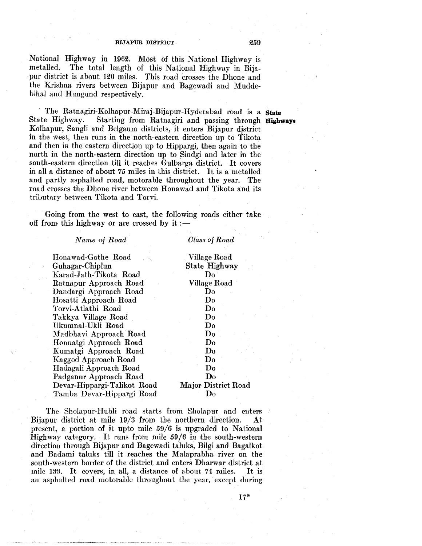National Highway in 1962. Most of this National Highway is metalled. The total length of this National Highway in Bijapur district is about 120 miles. This road crosses the Dhone and the Krishna rivers between Bijapur and Bagewadi and Muddebihal and Hungund respectively.

The Ratnagiri-Kolhapur-Miraj-Bijapur-Hyderabad road is a **State**  Starting from Ratnagiri and passing through **Highways** Kolhapur, Sangli and Belgaum districts, it enters Bijapur district in the west, then runs in the north-eastern direction up to Tikota and then in the eastern direction up to Hippargi, then again to the north in the north-eastern direction up to Sindgi and later in the south-eastern direction till it reaches Gulbarga district. It covers in all a distance of about 75 miles in this district. It is a metalled and partly asphalted road, motorable throughout the year. The road crosses the Dhone river between Honawad and Tikota and its tributary between Tikota and Torvi.

Going from the west to east, the following roads either take off from this highway or are crossed by it :-

#### *Name of Road*

# $Class~of~ Road$

Village Road State Highway Do Village Road Do Do Do Do Do Do Do Do Do Do Do

Do

Honawad~Gothe Road Guhagar-Chiplun Karad-Jath-Tikota Road Ratnapur Approach Road Dandargi Approach Road Hosatti Approach Road 'l'orvi-Atlathi Road Takkya Village Road lJkumnal-Ukli Road Madbhavi Approach Road Honnatgi Approach Road Kumatgi Approach Road Kaggod Approach Road Hadagali Approach Road Padganur Approach Road Devar-Hippargi-Talikot Road Tamba Devar-Hippargi Road Major District Road

The Sbolapur-Hubli road starts from Sholapur and enters Bijapur district at mile 19/3 from the northern direction. At present, a portion of it upto mile 59/6 is upgraded to National Highway category. It runs from mile 59/6 in the south-western direction through Bijapur and Bagewadi taluks, Bilgi and Bagalkot and Badami taluks till it reaches the Malaprabha river on the south-western border of the district and enters Dharwar district at mile 133. It covers, in all, a distance of about 74 miles. It is an asphalted road motorable throughout the year, except during

17\*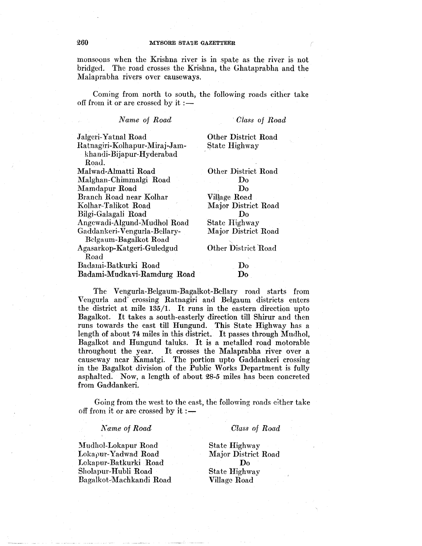monsoons when the Krishna river is in spate as the river is not bridged. The road crosses the Krishna, the Ghataprabha and the Malaprabha rivers over causeways.

Coming from north to south, the following roads either take off from it or are crossed by it  $:$   $-$ 

## *Name of Road*

 $Class~of~ Road$ 

| Jalgeri-Yatnal Road           | Other District Road |
|-------------------------------|---------------------|
| Ratnagiri-Kolhapur-Miraj-Jam- | State Highway       |
| khandi-Bijapur-Hyderabad      |                     |
| Road.                         |                     |
| Malwad-Almatti Road           | Other District Road |
| Malghan-Chimmalgi Road        | Do                  |
| Mamdapur Road                 | Dο                  |
| Branch Road near Kolhar       | Village Road        |
| Kolhar-Talikot Road           | Major District Road |
| Bilgi-Galagali Road           | Do                  |
| Angewadi-Algund-Mudhol Road   | State Highway       |
| Gaddankeri-Vengurla-Bellary-  | Major District Road |
| Belgaum-Bagalkot Road         |                     |
| Agasarkop-Katgeri-Guledgud    | Other District Road |
| Road                          |                     |
| Badami-Batkurki Road          | Đo                  |
| Badami-Mudkavi-Ramdurg Road   | l Jn                |

The Vengurla-Belgaum-Bagalkot-Bellary road starts from Vengurla and' crossing Ratnagiri and Beigaum districts enters the district at mile 135/1. It runs in the eastern direction upto Bagalkot. It takes a south-easterly direction till Shirur and then runs towards the east till Hungund. This State Highway has a length of about 74 miles in this district. It passes through Mudhol, Bagalkot and Hungund taluks. It is a metalled road motorable throughout the year. It crosses the Malaprabha river over a It crosses the Malaprabha river over a causeway near Kamatgi. The portion upto Gaddankeri crossing in the Bagalkot division of the Public Works Department is fully asphalted. Now, a length of about 28-5 miles has been concreted from Gaddankeri.

Going from the west to the east, the following roads either take off from it or are crossed by it  $:$   $-$ 

*1Yame of Road* 

*Class of Road* 

Mudhol-Lokapur Road Lokapur-Yadwad Road Lokapur-Batkurki Road Sholapur-Hubli Road Bagalkot-Machkandi Road State Highway Major District Road Do State Highway Village Road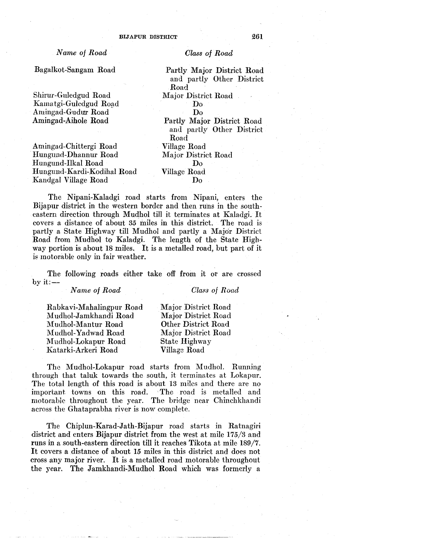*Name of Road Class of Road* 

Bagalkot-Sangam Road

Shirur-Guledgud Road Kamatgi-Guledgud Road Amingad-Gudur Road Amingad-Aihole Road

Amingad-Chittergi Road Hungund-Dhannur Road Hungund-Ilkal Road Hungund-Kardi-Kodihal Road Kandgal Village Road

Partly Major District Road and partly Other District Road Major District Road Do Do Partly Major District Road and partly Other District Road Village Road Major District Road Do Village Road Do

The Nipani-Kaladgi road starts from Nipani, enters the Bijapur district in the western border and then runs in the southeastern direction through Mudhol till it terminates at Kaladgi. It covers a distance of about *35* miles in this district. The road is partly a State Highway till Mudhol and partly a Major District Road from Mudhol to Kaladgi. The length of the State Highway portion is about 18 miles. It is a metalled road, but part of it is rnotorable only in fair weather.

The following roads either take off from it or are crossed by it: $-$ 

*Name of Road* 

*Class of Road* 

Rabkavi-Mahalingpur Road :Mudhol-Jamkhandi Road l\'[udhol-Mantur Road Mudhol-Yadwad Road Mudhol-Lokapur Road Katarki-Arkeri Road

Major District Road Major District Road Other District Road Major District Road State Highway Village Road

The Mudhol-Lokapur road starts from Mudhol. Running through that taluk towards the south, it terminates at Lokapur. The total length of this road is about 13 miles and there are no important. towns on this road. The road is metalled and motorahle throughout the year. The bridge near Chinchkhandi across the Ghataprabha river is now complete.

The Chiplun-Karad-Jath-Bijapur road starts in Ratnagiri district and enters Bijapur district from the west at mile 175/8 and runs in a south-eastern direction till it reaches Tikota at mile 189/7. It covers a distance of about 15 miles in this district and does not cross any major river. It is a metalled road motorable throughout the year. The Jamkhandi-Mudhol Road which was formerly a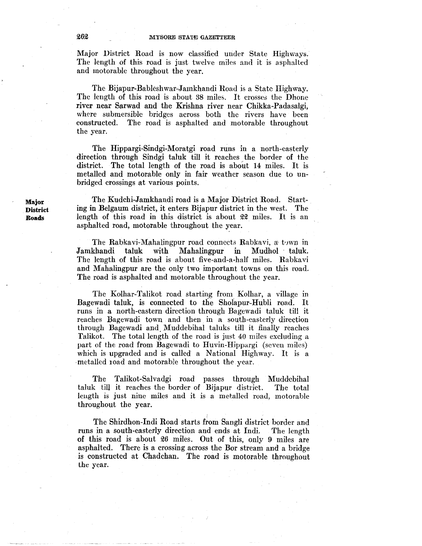Major District Road is now classified under State Highways. The length of this road is just twelve miles and it is asphalted and motorable throughout the year.

The Bijapur-Bableshwar-Jamkhandi Road is a State Highway. The length of this road is about 38 miles. It crosses the Dhone river near Sarwad and the Krishna river near Chikka-Padasalgi, where submersible bridges across both the rivers have been constructed. The road is asphalted and motorable throughout the year.

The Hippargi-Sindgi-Moratgi road runs in a north-easterly direction through Sindgi taluk till it reaches the border of the district. The total length of the road is about 14 miles. It is metalled and motorable only in fair weather season due to unbridged crossings at various points.

The Kudchi-Jamkhandi road is a Major District Road. Starting in Belgaum district, it enters Bijapur district in the west. The length of this road in this district is about 22 miles. It is an asphalted road, motorable throughout the year.

The Rabkavi-Mahalingpur road connects Rabkavi, a t-Jwn in khandi taluk. with Mahalingpur in Mudhol taluk. Jamkhandi taluk with Mahalingpur in Mudhol taluk. The length of this road is about five-and-a-half miles. Rabkavi and Mahalingpur are the only two important towns on this road. The road is asphalted and motorable throughout the year.

The Kolhar-Talikot road starting from Kolhar, a village in Bagewadi taluk, is connected to the Sholapur-Hubli road. It runs in a north-eastern direction through Bagewadi taluk till it reaches Bagewadi town and then in a south-easterly direction through Bagewadi and. Muddebihal taluks till it finally reaches Talikot. The total length of the road is just 40 miles excluding a part of the road from Bagewadi to Huvin-Hippargi (seven miles) which is upgraded and is called a National Highway. It is a -metalled road and motorable throughout the year.

The Talikot-Salvadgi road passes through Muddebihal taluk till it reaches the border of Bijapur district. The total length is just nine miles and it is a metalled road, motorable throughout the year.

The Shirdhon-Indi Road starts from Sangli district border and runs in a south-easterly direction and ends at lndi. The length of this road is about Q6 miles. Out of this, only 9 miles are asphalted. There is a crossing across the Bor stream and a bridge is constructed at Chadchan. The road is motorable throughout the year.

**Major District Roads**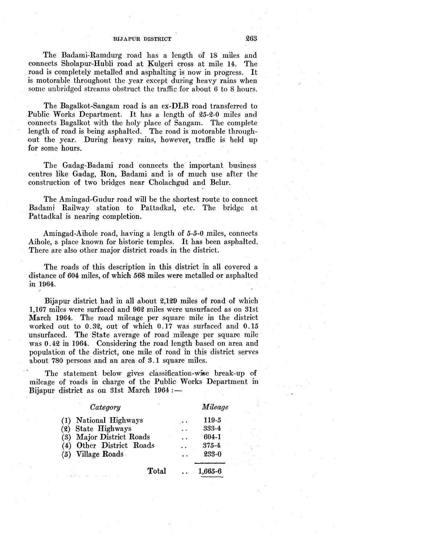The Badami-Ramdurg road has a length of 18 miles and connects Sholapur-Hubli road at Kulgeri cross at mile 14. The road is completely metalled and asphalting is now in progress. It is motorable throughout the year except during heavy rains when some unbridged streams obstruct the traffic for about 6 to 8 hours.

The Bagalkot-Sangam road is an ex-DLB road transferred to Public Works Department. It has a length of 25-2-0 miles and connects Bagalkot with the holy place of Sangam. The complete length of road is being asphalted. The road is motorable throughout the year. During heavy rains, however, traffic is held up for some hours.

The Gadag-Badami road connects the important business centres like Gadag, Ron, Badami and is of much use after the construction of two bridges near Cholachgud and Belur.

The Amingad-Gudur road will be the shortest route to connect Badami Railway station to Pattadkal, etc. The bridge at Pattadkal is nearing completion.

Amingad-Aihole road, having a length of *5-5-0* miles, connects Aihole, a place known for historic temples. It has been asphalted. There are also other major district roads in the district.

The roads of this description in this district in all covered a distance of 604 miles, of which 568 miles were metalled or asphalted in 1964.

Bijapur district had in all about 2.129 miles of road of which 1,167 miles were surfaced and 962 miles were unsurfaced as on 31st March 1964. The road mileage per square mile in the district worked out to 0. 32, out of which 0. 17 was surfaced and 0. 15 unsurfaced. The State average of road mileage per square mile was 0.42 in 1964. Considering the road length based on area and population of the district, one mile of road in this district serves about 780 persons and an area of 3.1 square miles.

The statement below gives classification-wise break-up of mileage of roads in charge of the Public Works Department in Bijapur district as on 31st March  $1964:$  -

|     | Category                    | Mileage   |
|-----|-----------------------------|-----------|
|     | (1) National Highways       | 119-5     |
|     | (2) State Highways          | 333-4     |
| (3) | <b>Major District Roads</b> | $604 - 1$ |
| (4) | Other District Roads        | $375 - 4$ |
| (5) | Village Roads               | 233-0     |
|     | Total                       | 1.665-6   |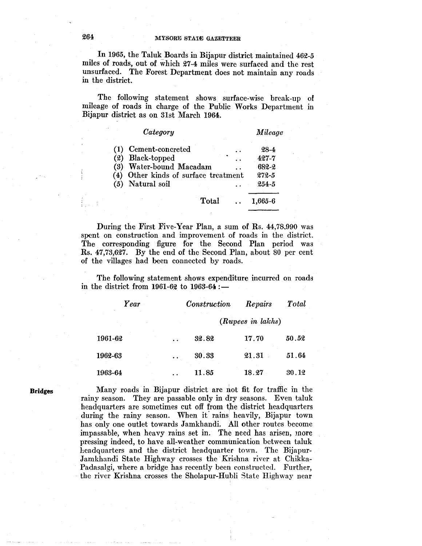# 264 MYSORE STATE GAZETTEER

In 1965, the Taluk Boards in Bijapur district maintained 462-5 miles of roads, out of which 27-4 miles were surfaced and the rest unsurfaced. The Forest Department does not maintain any roads in the district.

The following statement shows surface-wise break-up of mileage of roads in charge of the Public Works Department m Bijapur district as on 31st March 1964.

|     | Category                         |  | Mileage          |
|-----|----------------------------------|--|------------------|
| (1) | Cement-concreted                 |  | $28 - 4$         |
| (2) | <b>Black-topped</b>              |  | 427-7            |
| (3) | Water-bound Macadam              |  | 682-2            |
| (4) | Other kinds of surface treatment |  | 272-5            |
|     | (5) Natural soil                 |  | $2.54 - 5$       |
|     | Total                            |  | $1.665\hbox{-}6$ |

During the First Five-Year Plan, a sum of Rs. 44,78,990 was spent on construction and improvement of roads in the district. The corresponding figure for the Second Plan period was Rs. 47,73,627. By the end of the Second Plan, about 80 per cent of the villages had been connected by roads.

The following statement shows expenditure incurred on roads in the district from  $1961-62$  to  $1963-64$ :

| Year    | Construction | Repairs           | <b>T</b> otal |
|---------|--------------|-------------------|---------------|
|         |              | (Rupees in lakhs) |               |
| 1961-62 | 32.82        | 17.70             | 50.52         |
| 1962-63 | 30.33        | 21.31             | 51.64         |
| 1963-64 | 11.85        | 18.27             | 30.12         |

**Bridges** 

Many roads in Bijapur district are not fit for traffic in the rainy season. They are passable only in dry seasons. Even taluk headquarters are sometimes cut off from the district headquarters during the rainy season. When it rains heavily, Bijapur town has only one outlet towards Jamkhandi. All other routes become impassable, when heavy rains set in. The need has arisen, more pressing indeed, to have all-weather communication between taluk headquarters and the district headquarter town. The Bijapur-Jamkhandi State Highway crosses the Krishna river at Chikka-Padasalgi, where a bridge has recently been constructed. Further, the river Krishna crosses the Sholapur-Hubli State Highway near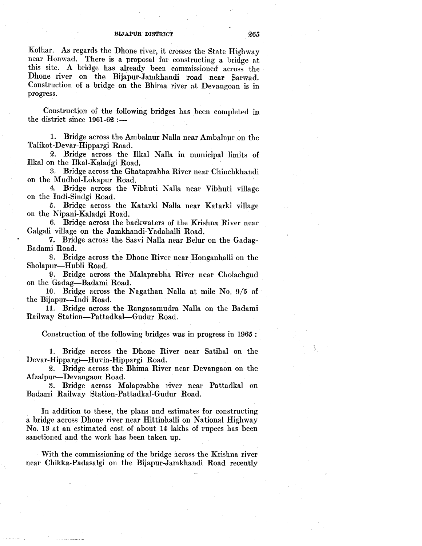Kolhar. As regards the Dhone river, it crosses the State Highway near Honwad. There is a proposal for constructing a bridge at this site. A bridge has already been commissioned across the Dhone river on the Bijapur-Jamkhandi 'road near Sarwad. Construction of a bridge on the Bhima river at Devangoan is in progress.

Construction of the following bridges has been completed m the district since  $1961-62$ :

1. Bridge across the Ambalnur Nalla near Ambalnur on the Talikot-Devar-Hippargi Road.

~. Bridge across the llkal Nalla in municipal limits of Ilkal on the Ilkal-Kaladgi Road.

3. Bridge across the Ghataprabha River near Chinchkhandi on the Mudhol-Lokapur Road.

4. Bridge across the Vibhuti Nalla near Vibhuti village on the Indi-Sindgi Road.

*5.* Bridge across the Katarki Nalla near Katarki village on the Nipani-Kaladgi Road.

6. Bridge across the backwaters of the Krishna River near Galgali village on the Jamkhandi-Yadahalli Road.

7. Bridge across the Sasvi Nalla near Belur on the Gadag-Badami Road.

8. Bridge across the Dhone River near Honganhalli on the Sholapur-Hubli Road.

9. Bridge across the Malaprabha River near Cholachgud on the Gadag-Badami Road.

10. Bridge across the Nagathan Nalla at mile No. *9/5* of the Bijapur-Indi Road.

11. Bridge across the Rangasamudra Nalla on the Badami Railway Station-Pattadkal-Gudur Road.

Construction of the following bridges was in progress in 1965 :

1. Bridge across the Dhone River near Satihal on the Devar-Hippargi-Huvin-Hippargi Road.

2. Bridge across the Bhima River near Devangaon on the Afzalpur-Devangaon Road.

3. Bridge across Malaprabha river near Pattadkal on Badami Railway Station-Pattadkal-Gudur Road.

In addition to these, the plans and estimates for constructing a bridge across Dhone river near Hittinhalli on National Highway No. 13 at an estimated cost of about 14 lakhs of rupees has been sanctioned and the work has been taken up.

With the commissioning of the bridge across the Krishna river near Chikka-Padasalgi on the Bijapur-Jamkhandi Road recently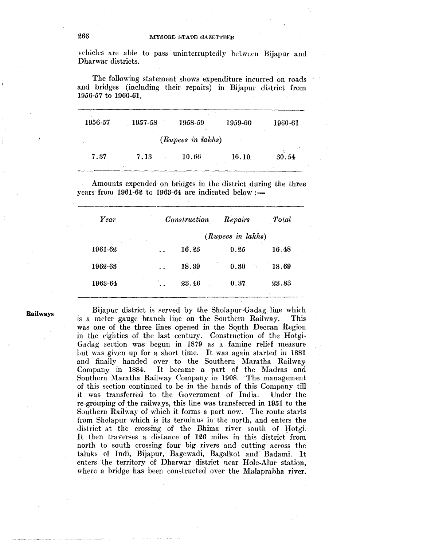## fl66 MYSORE STATE GAZETTEER

vehicles are able to pass uninterruptedly between Bijapur and Dharwar districts.

The following statement shows expenditure incurred on roads and bridges (including their repairs) in Bijapur district from 1956-57 to 1960-61.

| 1956-57 | 1957-58 | 1958-59             | 1959-60 | $1960 - 61$ |
|---------|---------|---------------------|---------|-------------|
|         |         | $(Rupees \in khsh)$ |         |             |
| 7.37    | 7.13    | 10.66               | 16.10   | 30.54       |

Amounts expended on bridges in the district during the three years from 1961-62 to 1963-64 are indicated below: $-$ 

| Year    | Construction | Repairs           | Total |
|---------|--------------|-------------------|-------|
|         |              | (Rupees in lakhs) |       |
| 1961-62 | 16.23        | 0.25              | 16.48 |
| 1962-63 | 18.39        | 0.30              | 18.69 |
| 1963-64 | 23.46        | 0.37              | 23.83 |

Railways

Bijapur district is served by the Sholapur-Gadag line which is a meter gauge branch line on the Southern Railway. This was one of the three lines opened in the South Deccan Region in the eighties of the last century. Construction of the Hotgi-Gadag section was begun in 1879 as a famine relief measure Lut was given up for a short time. It was again started in 1881 and finally handed over to the Southern Maratha Railway Company in 1884. It became a part of the Madras and Southern Maratha Railway Company in 1908. The management of this section continued to be in the hands of this Company till it was transferred to the Government of India. Under the re-grouping of the railways, this line was transferred in 1951 to the Southern Railway of which it forms a part now. The route starts from Sholapur which is its terminus in the north, and enters the district at the crossing of the Bhima river south of Hotgi. It then traverses a distance of 126 miles in this district from north to south crossing four big rivers and cutting across the taluks of Indi, Bijapur, Bagewadi, Bagalkot and· Badami. It enters lhe territory of Dharwar district near Hole-Alur station, where a bridge has been constructed over the Malaprabha river.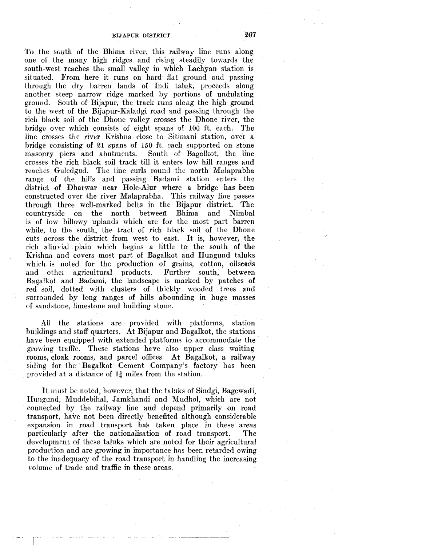To the south of the Bhima river, this railway line runs along one of the many high ridges and rising steadily towards the south-west reaches the small valley in which Lachyan station is situated. From here it runs on hard flat ground and passing through the dry barren lands of Indi taluk, proceeds along another steep narrow ridge marked by portions of undulating ground. South of Bijapur, the track runs along the high ground to the west of the Bijapur-Kaladgi road and passing through the rich black soil of the Dhone valley crosses the Dhone river, the bridge over which consists of eight spans of 100 ft. each. The line crosses the river Krishna. close to Sitimani station, over a bridge consisting of  $21$  spans of 150 ft. each supported on stone masonry piers and abutments. South of Bagalkot, the line crosses the rich black soil track till it enters low hill ranges and reaches Guledgud. The line curls round the north Malaprabha range of the hills and passing Badami station enters the district of Dharwar near Hole-Alur where a bridge has been constructed over the river Malaprabha. This railway line passes through three well-marked belts in the Bijapur district. The countryside on the north between is of low billowy uplands which are for the most part barren while, to the south, the tract of rich black soil of the Dhone cuts across the district from west to east. It is, however, the rich alluvial plain which begins a Little to the south of the Krishna and covers most part of Bagalkot and Hungund taluks which is noted for the production of grains, cotton, oilseeds and other agricultural products. Further south, between and other agricultural products. Bagalkot and Badami, the landscape is marked by patches of red soil, dotted with clusters of thickly wooded trees and surrounded by long ranges of hills abounding in huge masses of sandstone, limestone and building stone.

All the stations are provided with platforms, station buildings and staff quarters. At Bijapur and Bagalkot, the stations have been equipped with extended platforms to accommodate the growing traffic. These stations have also upper class waiting rooms, cloak rooms, and parcel offices, At Bagalkot, a railway siding for the Bagalkot Cement Company's factory has been provided at a distance of  $1\frac{1}{4}$  miles from the station.

It must be noted, however, that the taluks of Sindgi, Bagewadi, Hungund, Muddebihal, Jamkhandi and Mudhol, which are not connected by the railway line and depend primarily on road transport, have not been directly benefited although considerable expansion in road transport has taken place in these areas particularly after the nationalisation of road transport. The development of these taluks which are noted for their agricultural production and are growing in importance has been retarded owing to the inadequacy of the road transport in handling the increasing volume of trade and traffic in these areas.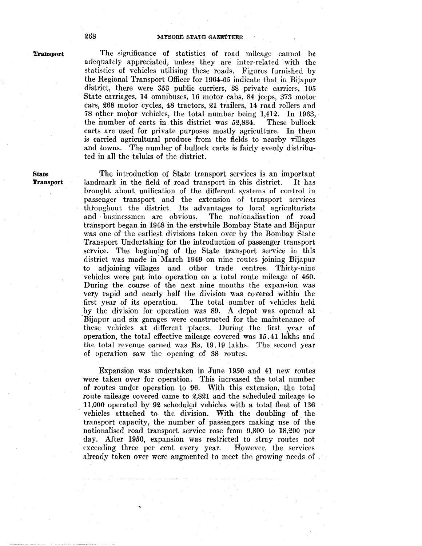# 268 MYSORE STATE GAZETTEER

'Fransport

State Transport

The significance of statistics of road mileage cannot be adequately appreciated, unless they are inter-related with the statistics of vehicles utilising these roads. Figures furnished by the Regional Transport Officer for 1964-65 indicate that in Bijapur district, there were *353* public carriers, 38 private carriers, 105 State carriages, 14 omnibuses, 16 motor cabs, 84 jeeps, 373 motor cars, 268 motor cycles, 48 tractors, 21 trailers, 14 road rollers and 78 other motor vehicles, the total number being 1,412. In 1963, the number of carts in this district was 52,834. These bullock carts are used for private purposes mostly agriculture. In them is carried agricultural produce from the fields to nearby villages and towns. The number of bullock carts is fairly evenly distributed in all the taluks of the district.

The introduction of State transport services is an important landmark in the field of road transport in this district. It has brought about unification of the different systems of control in passenger transport and the extension of transport services throughout the district. Its advantages to local agriculturists and businessmen are obvious. The nationalisation of road and businessmen are obvious. transport began in 1948 in the erstwhile Bombay State and Bijapur was one of the earliest divisions taken over by the Bombay State Transport Undertaking for the introduction of passenger transport service. The beginning of the State transport service in this district was made in March 1949 on nine routes joining Bijapur to adjoining villages and other trade centres. Thirty-nine vehicles were put into operation on a total route mileage of 450. During the course of the next nine months the expansion was very rapid and nearly half the division was covered within the first year of its operation. The total number of vehicles held by the division for operation was 89. A depot was opened at 'Bijapur and six garages were constructed for the maintenance of these vehicles at different places. During the first year of operation, the total effective mileage covered was 15.41 lakhs and the total revenue earned was Rs. 19.19 lakhs. The second year of operation saw the opening of 38 routes.

Expansion was undertaken in June 1950 and 41 new routes were taken over for operation. This increased the total number of routes under operation to 96. With this extension, the total route mileage covered came to 2,8£1 and the scheduled mileage to  $11,000$  operated by  $92$  scheduled vehicles with a total fleet of 136 vehicles attached to the division. With the doubling of the transport capacity, the number of passengers making use of the nationalised road transport service rose from 9,800 to 18,200 per day. After 1950, expansion was restricted to stray routes not exceeding three per cent every year. However, the services already taken over were augmented to meet the growing needs of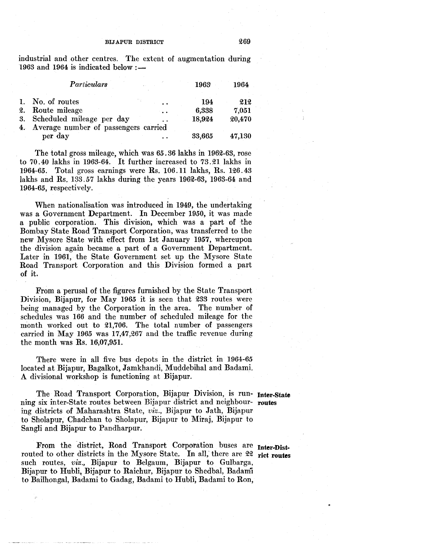industrial and other centres. The extent of augmentation during 1963 and 1964 is indicated below : $-$ 

| Particulars                              | 1963   | 1964   |
|------------------------------------------|--------|--------|
| 1. No. of routes<br>$\ddot{\phantom{1}}$ | 194    | 212    |
| 2. Route mileage<br>$\ddot{\phantom{a}}$ | 6,338  | 7,051  |
| 3. Scheduled mileage per day             | 18,924 | 20,470 |
| 4. Average number of passengers carried  |        |        |
| per day                                  | 33,665 | 47,130 |

The total gross mileage, which was 65. 36 lakhs in 1962-63, rose to  $70.40$  lakhs in 1963-64. It further increased to  $73.21$  lakhs in 1964-65. Total gross earnings were Rs. 106.11 lakhs, Rs. 126.43 lakhs and Rs. 133. 57 lakhs during the years 1962-63, 1963-64 and 1964-65, respectively.

When nationalisation was introduced in 1949, the undertaking was a Government Department. In December 1950, it was made a public corporation. This division, which was a part of the Bombay State Road Transport Corporation, was transferred to the new Mysore State with effect from 1st January 1957, whereupon the division again became a part of a Government Department. Later in 1961, the State Government set up the Mysore State Road Transport Corporation and this Division formed a part of it.

From a perusal of the figures furnished by the State Transport Division, Bijapur, for May 1965 it is seen that 233 routes were being managed by the Corporation in the area. The number of schedules was 166 and the number of scheduled mileage for the month worked out to 21,706. The total number of passengers carried in May 1965 was  $17,47,267$  and the traffic revenue during the month was Rs. 16,07,951.

There were in all five bus depots in the district in 1964-65 located at Bijapur, Bagalkot, Jamkhandi, Muddebihal and Badami. A divisional workshop is functioning at Bijapur.

The Road Transport Corporation, Bijapur Division, is run- Inter-State ning six inter-State routes between Bijapur district and neighbour- routes ing districts of Maharashtra State, *viz.,* Bijapur to Jath, Bijapur to Sholapm, Chadchan to Sholapur, Bijapur to Miraj, Bijapur to Sangli and Bijapur to Pandharpur.

From the district, Road Transport Corporation buses are Inter-Distrouted to other districts in the Mysore State. In all, there are 22 rict routes such routes, *viz.*, Bijapur to Belgaum, Bijapur to Gulbarga, Bijapur to Hubli, Bijapur to Raichur, Bijapur to Shedbal, Badami to Bailhongal, Badami to Gadag, Badami to Hubli, Badami to Ron,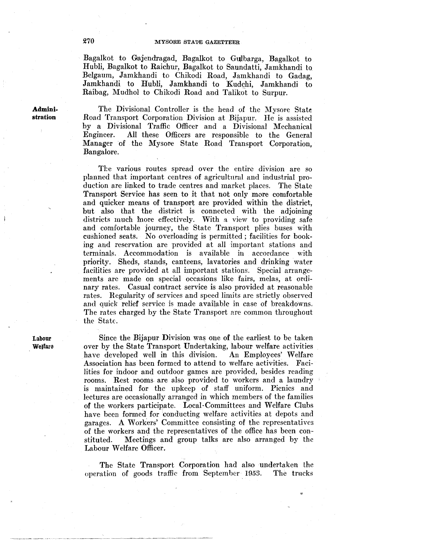Bagalkot to Gajendragad, Bagalkot to Gulbarga, Bagalkot to Hubli, Bagalkot to Raichur, Bagalkot to Saundatti, Jamkhandi to Belgaum, Jamkhandi to Chikodi Road, Jamkhandi to Gadag, Jamkhandi to Hubli, Jamkhandi to Kudchi, Jamkhandi to Raibag, Mudhol to Chikodi Road and Talikot to Surpur.

**Admini**stration

The Divisional Controller is the head of the Mysore State Road Transport Corporation Division at Bijapur. He is assisted by a Divisional Traffic Officer and a Divjsional Mechanical Engineer. All these Officers are responsible to the General Manager of the Mysore State Road Transport Corporation, Bangalore.

The various routes spread over the entire division are so planned that important centres of agricultural and industrial production are linked to trade centres and market places. The State Transport Service has seen to it that not only more comfortable and quicker means of transport are provided within the district, but also that the district is connected with the adjoining districts much more effectively. With a view to providing safe and comfortable journey, the State Transport plies buses with cushioned seats. No overloading is permitted; facilities for booking and reservation are provided at all important stations and terminals. Accommodation is available in accordance with priority. Sheds, stands, canteens, lavatories and drinking water facilities are provided at all important stations. Special arrangements are made on special occasions like fairs, melas, at ordinary rates. Casual contract service is also provided at reasonable rates. Regularity of services and speed limits are strictly observed and quick relief service is made available in case of breakdowns. The rates charged by the State Transport are common throughout the State

Since the Bijapur Division was one of the earliest to be taken over by the State Transport Undertaking, labour welfare activities have developed well in this division. An Employees' Welfare Association has been formed to attend to welfare activities. Facilities for indoor and outdoor games are provided, besides reading rooms. Rest rooms are also provided to workers and a laundry is maintained for the upkeep of staff uniform. Picnics and lectures are occasionally arranged in which members of the families of the workers participate.. Local-Committees and Welfare Clubs have been formed for conducting welfare activities at depots and garages. A Workers' Committee consisting of the representatives of the workers and the representatives of the office has been constituted. Meetings and group talks are also arranged by the Labour Welfare Officer.

The State Transport Corporation had also undertaken the operation of goods traffic from September 1953. The trucks

Labour Welfare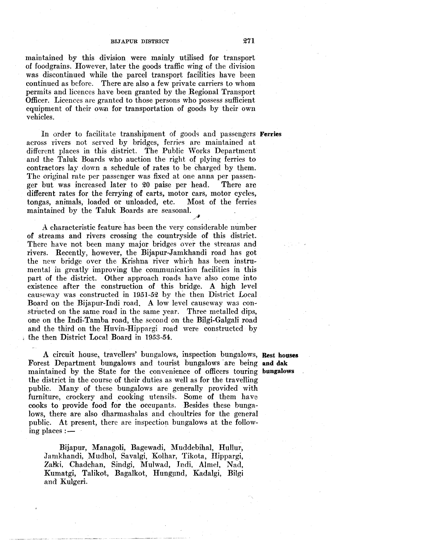maintained by this division were mainly utilised for transport of foodgrains. However, later the goods traffic wing of the division was discontinued while the parcel transport facilities have been continued as before. There are also a few private carriers to whom permits and licences have been granted by the Regional Transport Officer. Licences are granted to those persons who possess sufficient equipment of their own for transportation of goods by their own vehicles.

In order to facilitate transhipment of goods and passengers Ferries across rivers not served by bridges, ferries are maintained at different places in this district. The Public Works Department and the Taluk Boards who auction the right of plying ferries to contractors lay down a schedule of rates to be charged by them. The original rate per passenger was fixed at one anna per passenger but was increased later to 20 paise per head. There are different rates for the ferrying of carts, motor cars, motor cycles, tongas, animals, loaded or unloaded, etc. Most of the ferries tongas, animals, loaded or unloaded, etc. maintained by the Taluk Boards are seasonal.

A characteristic feature has been the very considerable number of streams and rivers crossing the countryside of this district. There have not been many major bridges over the streams and rivers. Recently, however, the Bijapur-Jamkhandi road has got the new· bridge over the Krishna river which has been instrumental in greatly improving the communication facilities in this part of the district. Other approach roads have also come into existence after the construction of this bridge. A high level causeway was constructed in 1951-52 by the then District Local Board on the Bijapur-lndi road. A low level causeway was constructed on the same road in the same year. Three metalled dips, one on the lndi-Tamba road, the second on the Bilgi-Galgali road and the third on the Huvin-Hippargi road were constructed by the then District Local Board in 1953-54.

A circuit house, travellers' bungalows, inspection bungalows, Rest houses Forest Department bungalows and tourist bungalows are being and dak maintained by the State for the convenience of officers touring bungalows the district in the course of their duties as well as for the travelling public. Many of these bungalows are generally provided with furniture, crockery and cooking utensils. Some of them have cooks to provide food for the occupants. Besides these bungalows, there are also dharmashalas and choultries for the general public. At present, there are inspection bungalows at the following places  $:$   $-$ 

Bijapur, Managoli, Bagewadi, Muddebihal, Hullur, Jamkhandi, Mudhol, Savalgi, Kolhar, Tikota, Ilippargi, Zatki, Chadchan, Sindgi, Mulwad, Indi. Almel, Nad, Kumatgi, Talikot, Bagalkot, Hungund, Kadalgi, Bilgi and Kulgeri.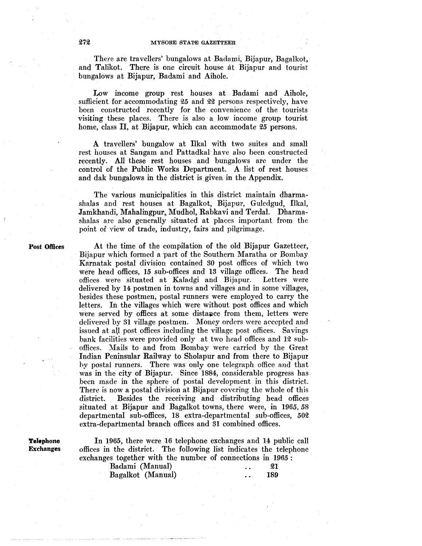There are travellers' bungalows at Badami, Bijapur, Bagalkot, and Talikot. There is one circuit house at Bijapur and tourist bungalows at Bijapur, Badami and Aihole.

Low income group rest houses at Badami and Aihole, sufficient for accommodating  $25$  and  $22$  persons respectively, have been constructed recently for the convenience of the tourists visiting these places. There is also a low income group tourist home, class II, at Bijapur, which can accommodate 25 persons.

A travellers' bungalow at Ilkal with two suites and small rest houses at Sangam and Pattadkal have also been constructed recently. All these rest houses and bungalows arc under the control of the Public Works Department. A list of rest houses and dak bungalows in the district is given in the Appendix.

The various municipalities in this district maintain dharmashalas and rest houses at Bagalkot, Bijapur, Gulcdgud, Ilkal, Jamkhandi, Mahalingpur,, Mudhol, Rabkavi and Terdal. Dharmashalas are also generally situated at places important from the point of view of trade, industry, fairs and pilgrimage.

Post Offices

At the time of the compilation of the old Bijapur Gazetteer, Bijapur which formed a part of the Southern Maratha or Bombay Karnatak postal division contained 30 post offices of which two were head offices, 15 sub-offices and 13 village offices. The head offices were situated at Kaladgi and Bijapur. Letters were delivered by 14 postmen in towns and villages and in some villages, besides these postmen, postal runners were employed to carry the letters. In the villages which were without post offices and which were served by offices at some distance from them, letters were delivered by 31 village postmen. Money orders were accepted and issued at all post offices including the village post offices. Savings bank facilities were provided only at two head offices and 12 sub· offices. Mails to and from Bombay were carried by the Great Indian Peninsular Railway to Sholapur and from there to Bijapur by postal runners. There was only one telegraph office and that was in the city of Bijapur. Since 1884, considerable progress has been made in the sphere of postal development in this district. There is now a postal division at Bijapur covering the whole of this district. Besides the receiving and distributing head offices situated at Bijapur and Bagalkot towns, there were, in 1965, 58 departmental sub~offices, 18 extra-departmental sub-offices, 50Q extra~departmental branch offices and 31 combined offices.

**Telephone**  Exchanges

In 1965, there were 16 telephone exchanges and 14 public call offices in the district. The following list indicates the telephone exchanges together with the number of connections in 1965:

| Badami (Manual)   |  | 21  |
|-------------------|--|-----|
| Bagalkot (Manual) |  | 189 |